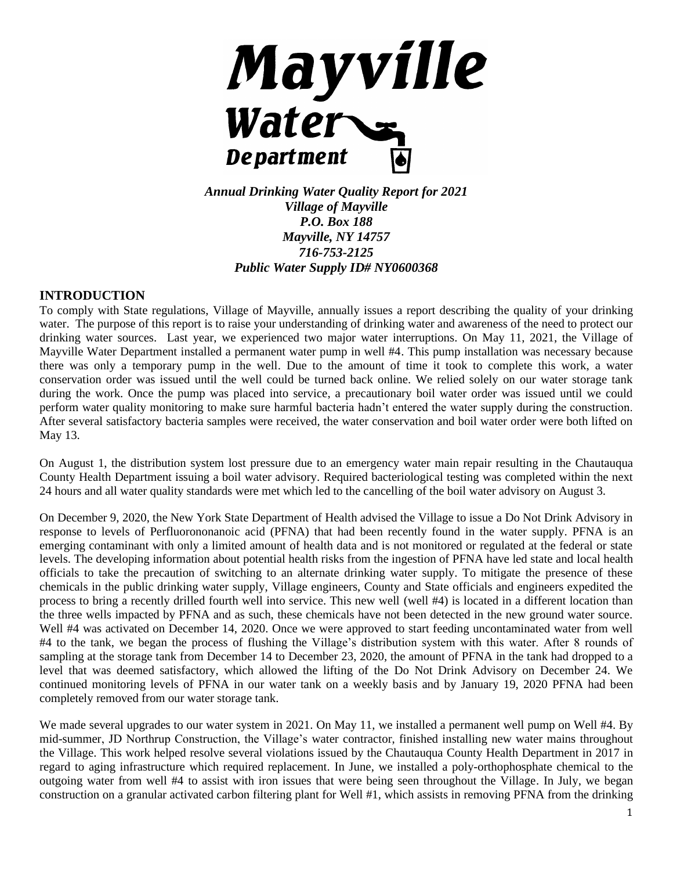

*Annual Drinking Water Quality Report for 2021 Village of Mayville P.O. Box 188 Mayville, NY 14757 716-753-2125 Public Water Supply ID# NY0600368*

## **INTRODUCTION**

To comply with State regulations, Village of Mayville, annually issues a report describing the quality of your drinking water. The purpose of this report is to raise your understanding of drinking water and awareness of the need to protect our drinking water sources. Last year, we experienced two major water interruptions. On May 11, 2021, the Village of Mayville Water Department installed a permanent water pump in well #4. This pump installation was necessary because there was only a temporary pump in the well. Due to the amount of time it took to complete this work, a water conservation order was issued until the well could be turned back online. We relied solely on our water storage tank during the work. Once the pump was placed into service, a precautionary boil water order was issued until we could perform water quality monitoring to make sure harmful bacteria hadn't entered the water supply during the construction. After several satisfactory bacteria samples were received, the water conservation and boil water order were both lifted on May 13.

On August 1, the distribution system lost pressure due to an emergency water main repair resulting in the Chautauqua County Health Department issuing a boil water advisory. Required bacteriological testing was completed within the next 24 hours and all water quality standards were met which led to the cancelling of the boil water advisory on August 3.

On December 9, 2020, the New York State Department of Health advised the Village to issue a Do Not Drink Advisory in response to levels of Perfluorononanoic acid (PFNA) that had been recently found in the water supply. PFNA is an emerging contaminant with only a limited amount of health data and is not monitored or regulated at the federal or state levels. The developing information about potential health risks from the ingestion of PFNA have led state and local health officials to take the precaution of switching to an alternate drinking water supply. To mitigate the presence of these chemicals in the public drinking water supply, Village engineers, County and State officials and engineers expedited the process to bring a recently drilled fourth well into service. This new well (well #4) is located in a different location than the three wells impacted by PFNA and as such, these chemicals have not been detected in the new ground water source. Well #4 was activated on December 14, 2020. Once we were approved to start feeding uncontaminated water from well #4 to the tank, we began the process of flushing the Village's distribution system with this water. After 8 rounds of sampling at the storage tank from December 14 to December 23, 2020, the amount of PFNA in the tank had dropped to a level that was deemed satisfactory, which allowed the lifting of the Do Not Drink Advisory on December 24. We continued monitoring levels of PFNA in our water tank on a weekly basis and by January 19, 2020 PFNA had been completely removed from our water storage tank.

We made several upgrades to our water system in 2021. On May 11, we installed a permanent well pump on Well #4. By mid-summer, JD Northrup Construction, the Village's water contractor, finished installing new water mains throughout the Village. This work helped resolve several violations issued by the Chautauqua County Health Department in 2017 in regard to aging infrastructure which required replacement. In June, we installed a poly-orthophosphate chemical to the outgoing water from well #4 to assist with iron issues that were being seen throughout the Village. In July, we began construction on a granular activated carbon filtering plant for Well #1, which assists in removing PFNA from the drinking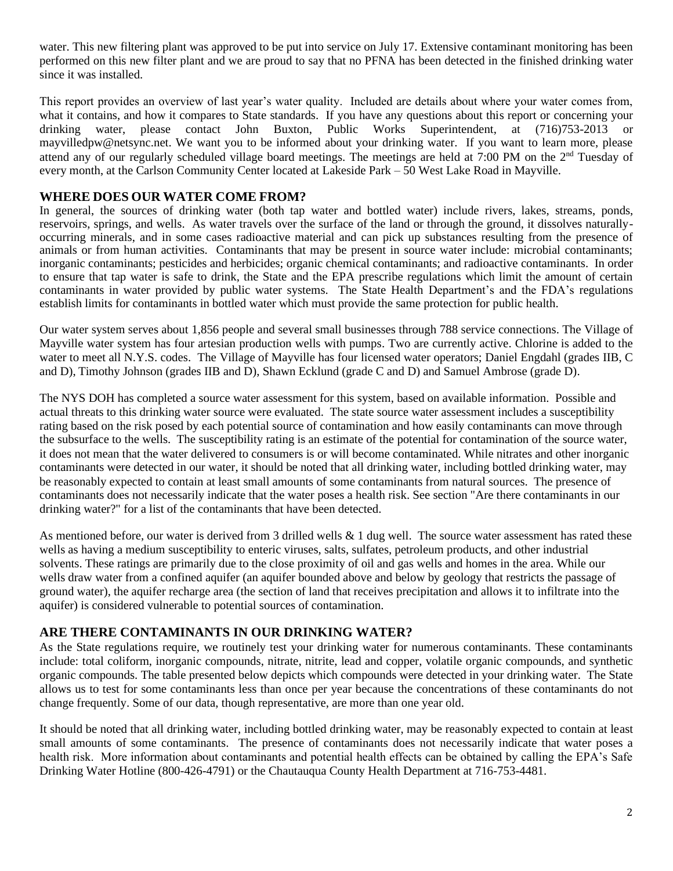water. This new filtering plant was approved to be put into service on July 17. Extensive contaminant monitoring has been performed on this new filter plant and we are proud to say that no PFNA has been detected in the finished drinking water since it was installed.

This report provides an overview of last year's water quality. Included are details about where your water comes from, what it contains, and how it compares to State standards. If you have any questions about this report or concerning your drinking water, please contact John Buxton, Public Works Superintendent, at (716)753-2013 or mayvilledpw@netsync.net. We want you to be informed about your drinking water. If you want to learn more, please attend any of our regularly scheduled village board meetings. The meetings are held at 7:00 PM on the 2nd Tuesday of every month, at the Carlson Community Center located at Lakeside Park – 50 West Lake Road in Mayville.

## **WHERE DOES OUR WATER COME FROM?**

In general, the sources of drinking water (both tap water and bottled water) include rivers, lakes, streams, ponds, reservoirs, springs, and wells. As water travels over the surface of the land or through the ground, it dissolves naturallyoccurring minerals, and in some cases radioactive material and can pick up substances resulting from the presence of animals or from human activities. Contaminants that may be present in source water include: microbial contaminants; inorganic contaminants; pesticides and herbicides; organic chemical contaminants; and radioactive contaminants. In order to ensure that tap water is safe to drink, the State and the EPA prescribe regulations which limit the amount of certain contaminants in water provided by public water systems. The State Health Department's and the FDA's regulations establish limits for contaminants in bottled water which must provide the same protection for public health.

Our water system serves about 1,856 people and several small businesses through 788 service connections. The Village of Mayville water system has four artesian production wells with pumps. Two are currently active. Chlorine is added to the water to meet all N.Y.S. codes. The Village of Mayville has four licensed water operators; Daniel Engdahl (grades IIB, C and D), Timothy Johnson (grades IIB and D), Shawn Ecklund (grade C and D) and Samuel Ambrose (grade D).

The NYS DOH has completed a source water assessment for this system, based on available information. Possible and actual threats to this drinking water source were evaluated. The state source water assessment includes a susceptibility rating based on the risk posed by each potential source of contamination and how easily contaminants can move through the subsurface to the wells. The susceptibility rating is an estimate of the potential for contamination of the source water, it does not mean that the water delivered to consumers is or will become contaminated. While nitrates and other inorganic contaminants were detected in our water, it should be noted that all drinking water, including bottled drinking water, may be reasonably expected to contain at least small amounts of some contaminants from natural sources. The presence of contaminants does not necessarily indicate that the water poses a health risk. See section "Are there contaminants in our drinking water?" for a list of the contaminants that have been detected.

As mentioned before, our water is derived from 3 drilled wells  $& 1$  dug well. The source water assessment has rated these wells as having a medium susceptibility to enteric viruses, salts, sulfates, petroleum products, and other industrial solvents. These ratings are primarily due to the close proximity of oil and gas wells and homes in the area. While our wells draw water from a confined aquifer (an aquifer bounded above and below by geology that restricts the passage of ground water), the aquifer recharge area (the section of land that receives precipitation and allows it to infiltrate into the aquifer) is considered vulnerable to potential sources of contamination.

## **ARE THERE CONTAMINANTS IN OUR DRINKING WATER?**

As the State regulations require, we routinely test your drinking water for numerous contaminants. These contaminants include: total coliform, inorganic compounds, nitrate, nitrite, lead and copper, volatile organic compounds, and synthetic organic compounds. The table presented below depicts which compounds were detected in your drinking water. The State allows us to test for some contaminants less than once per year because the concentrations of these contaminants do not change frequently. Some of our data, though representative, are more than one year old.

It should be noted that all drinking water, including bottled drinking water, may be reasonably expected to contain at least small amounts of some contaminants. The presence of contaminants does not necessarily indicate that water poses a health risk. More information about contaminants and potential health effects can be obtained by calling the EPA's Safe Drinking Water Hotline (800-426-4791) or the Chautauqua County Health Department at 716-753-4481.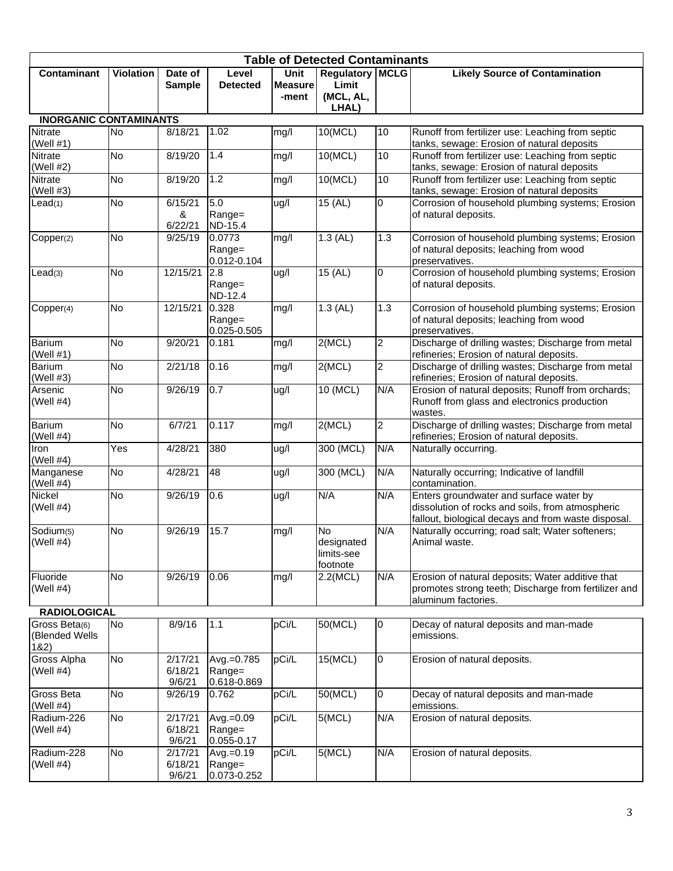| <b>Table of Detected Contaminants</b>          |                  |                              |                                      |                        |                                                   |                |                                                                                                                                                    |  |  |  |  |  |
|------------------------------------------------|------------------|------------------------------|--------------------------------------|------------------------|---------------------------------------------------|----------------|----------------------------------------------------------------------------------------------------------------------------------------------------|--|--|--|--|--|
| Contaminant                                    | <b>Violation</b> | Date of<br><b>Sample</b>     | Level<br><b>Detected</b>             | Unit<br><b>Measure</b> | <b>Regulatory MCLG</b><br>Limit                   |                | <b>Likely Source of Contamination</b>                                                                                                              |  |  |  |  |  |
|                                                |                  |                              |                                      | -ment                  | (MCL, AL,<br>LHAL)                                |                |                                                                                                                                                    |  |  |  |  |  |
| <b>INORGANIC CONTAMINANTS</b>                  |                  |                              |                                      |                        |                                                   |                |                                                                                                                                                    |  |  |  |  |  |
| Nitrate<br>(Well #1)                           | No               | 8/18/21                      | 1.02                                 | mg/l                   | 10(MCL)                                           | 10             | Runoff from fertilizer use: Leaching from septic<br>tanks, sewage: Erosion of natural deposits                                                     |  |  |  |  |  |
| Nitrate<br>(Well $#2)$                         | <b>No</b>        | 8/19/20                      | 1.4                                  | mg/l                   | 10(MCL)                                           | 10             | Runoff from fertilizer use: Leaching from septic<br>tanks, sewage: Erosion of natural deposits                                                     |  |  |  |  |  |
| Nitrate<br>(Well #3)                           | No               | 8/19/20                      | 1.2                                  | mg/l                   | 10(MCL)                                           | 10             | Runoff from fertilizer use: Leaching from septic<br>tanks, sewage: Erosion of natural deposits                                                     |  |  |  |  |  |
| Lead(1)                                        | <b>No</b>        | 6/15/21<br>&<br>6/22/21      | 5.0<br>Range=<br>ND-15.4             | ug/l                   | 15 (AL)                                           | 0              | Corrosion of household plumbing systems; Erosion<br>of natural deposits.                                                                           |  |  |  |  |  |
| Copper(2)                                      | <b>No</b>        | 9/25/19                      | 0.0773<br>Range=<br>0.012-0.104      | mg/l                   | $1.3$ (AL)                                        | 1.3            | Corrosion of household plumbing systems; Erosion<br>of natural deposits; leaching from wood<br>preservatives.                                      |  |  |  |  |  |
| Lead(3)                                        | <b>No</b>        | 12/15/21                     | 2.8<br>Range=<br>ND-12.4             | ug/l                   | $15$ (AL)                                         | $\mathbf 0$    | Corrosion of household plumbing systems; Erosion<br>of natural deposits.                                                                           |  |  |  |  |  |
| Copper(4)                                      | No               | 12/15/21                     | 0.328<br>Range=<br>0.025-0.505       | mg/l                   | $1.3$ (AL)                                        | 1.3            | Corrosion of household plumbing systems; Erosion<br>of natural deposits; leaching from wood<br>preservatives.                                      |  |  |  |  |  |
| <b>Barium</b><br>(Well $#1$ )                  | No               | 9/20/21                      | 0.181                                | mg/l                   | 2(MCL)                                            | $\overline{c}$ | Discharge of drilling wastes; Discharge from metal<br>refineries; Erosion of natural deposits.                                                     |  |  |  |  |  |
| Barium<br>(Well $#3$ )                         | No               | 2/21/18                      | 0.16                                 | mg/l                   | 2(MCL)                                            | $\overline{2}$ | Discharge of drilling wastes; Discharge from metal<br>refineries; Erosion of natural deposits.                                                     |  |  |  |  |  |
| Arsenic<br>(Well $#4$ )                        | No               | 9/26/19                      | 0.7                                  | ug/l                   | 10 (MCL)                                          | N/A            | Erosion of natural deposits; Runoff from orchards;<br>Runoff from glass and electronics production<br>wastes.                                      |  |  |  |  |  |
| Barium<br>(Well $#4$ )                         | <b>No</b>        | 6/7/21                       | 0.117                                | mg/l                   | 2(MCL)                                            | $\overline{2}$ | Discharge of drilling wastes; Discharge from metal<br>refineries; Erosion of natural deposits.                                                     |  |  |  |  |  |
| Iron<br>(Well #4)                              | Yes              | 4/28/21                      | 380                                  | ug/l                   | 300 (MCL)                                         | N/A            | Naturally occurring.                                                                                                                               |  |  |  |  |  |
| Manganese<br>(Well $#4$ )                      | No               | 4/28/21                      | 48                                   | ug/l                   | 300 (MCL)                                         | N/A            | Naturally occurring; Indicative of landfill<br>contamination.                                                                                      |  |  |  |  |  |
| Nickel<br>(Well $#4$ )                         | No               | 9/26/19                      | 0.6                                  | ug/l                   | N/A                                               | N/A            | Enters groundwater and surface water by<br>dissolution of rocks and soils, from atmospheric<br>fallout, biological decays and from waste disposal. |  |  |  |  |  |
| $\overline{\text{S}}$ odium(5)<br>(Well $#4$ ) | <b>No</b>        | 9/26/19                      | 15.7                                 | mg/l                   | <b>No</b><br>designated<br>limits-see<br>footnote | N/A            | Naturally occurring; road salt; Water softeners;<br>Animal waste.                                                                                  |  |  |  |  |  |
| Fluoride<br>(Well $#4$ )                       | No               | 9/26/19                      | 0.06                                 | mg/l                   | 2.2(MCL)                                          | N/A            | Erosion of natural deposits; Water additive that<br>promotes strong teeth; Discharge from fertilizer and<br>aluminum factories.                    |  |  |  |  |  |
| <b>RADIOLOGICAL</b>                            |                  |                              |                                      |                        |                                                   |                |                                                                                                                                                    |  |  |  |  |  |
| Gross Beta(6)<br>(Blended Wells<br>182)        | No               | 8/9/16                       | 1.1                                  | pCi/L                  | 50(MCL)                                           | 0              | Decay of natural deposits and man-made<br>emissions.                                                                                               |  |  |  |  |  |
| <b>Gross Alpha</b><br>(Well $#4$ )             | No               | 2/17/21<br>6/18/21<br>9/6/21 | Avg.=0.785<br>Range=<br>0.618-0.869  | pCi/L                  | 15(MCL)                                           | $\mathbf 0$    | Erosion of natural deposits.                                                                                                                       |  |  |  |  |  |
| Gross Beta<br>(Well $#4$ )                     | No               | 9/26/19                      | 0.762                                | pCi/L                  | 50(MCL)                                           | $\overline{0}$ | Decay of natural deposits and man-made<br>emissions.                                                                                               |  |  |  |  |  |
| Radium-226<br>(Well #4)                        | No               | 2/17/21<br>6/18/21<br>9/6/21 | Avg.=0.09<br>Range=<br>0.055-0.17    | pCi/L                  | 5(MCL)                                            | N/A            | Erosion of natural deposits.                                                                                                                       |  |  |  |  |  |
| Radium-228<br>(Well $#4$ )                     | No               | 2/17/21<br>6/18/21<br>9/6/21 | $Avg.=0.19$<br>Range=<br>0.073-0.252 | pCi/L                  | 5(MCL)                                            | N/A            | Erosion of natural deposits.                                                                                                                       |  |  |  |  |  |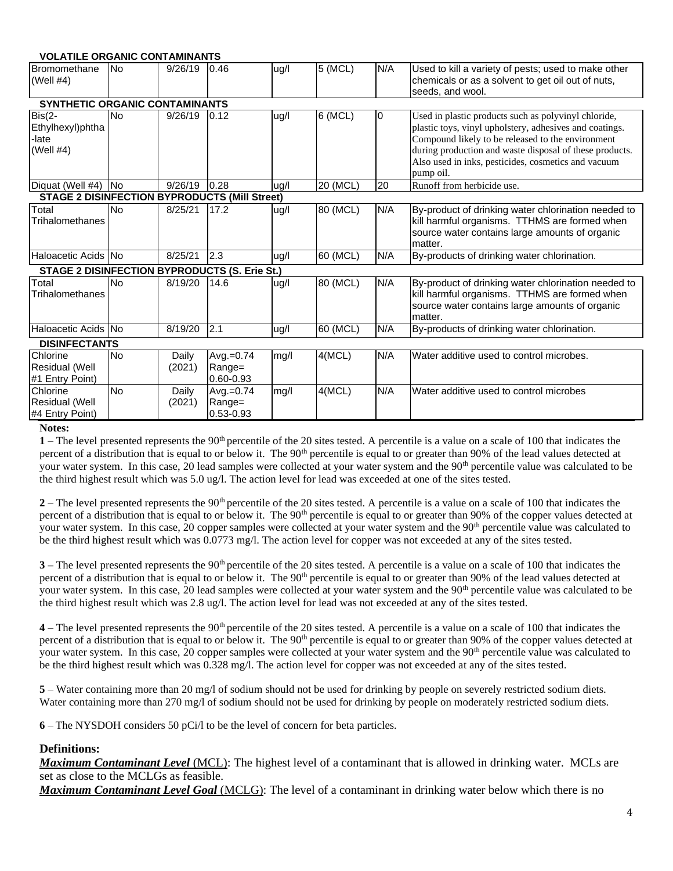| <b>VOLATILE ORGANIC CONTAMINANTS</b>                 |           |                 |                                     |      |          |                |                                                                                                                                                                                                                                                                                                     |  |  |  |  |
|------------------------------------------------------|-----------|-----------------|-------------------------------------|------|----------|----------------|-----------------------------------------------------------------------------------------------------------------------------------------------------------------------------------------------------------------------------------------------------------------------------------------------------|--|--|--|--|
| Bromomethane<br>(Well $#4$ )                         | <b>No</b> | 9/26/19         | 0.46                                | ug/l | 5 (MCL)  | N/A            | Used to kill a variety of pests; used to make other<br>chemicals or as a solvent to get oil out of nuts,<br>seeds, and wool.                                                                                                                                                                        |  |  |  |  |
| SYNTHETIC ORGANIC CONTAMINANTS                       |           |                 |                                     |      |          |                |                                                                                                                                                                                                                                                                                                     |  |  |  |  |
| $Bis(2-$<br>Ethylhexyl)phtha<br>late<br>(Well $#4$ ) | <b>No</b> | 9/26/19         | 0.12                                | ug/l | 6 (MCL)  | $\overline{0}$ | Used in plastic products such as polyvinyl chloride,<br>plastic toys, vinyl upholstery, adhesives and coatings.<br>Compound likely to be released to the environment<br>during production and waste disposal of these products.<br>Also used in inks, pesticides, cosmetics and vacuum<br>pump oil. |  |  |  |  |
| Diquat (Well #4)                                     | <b>No</b> | 9/26/19         | 0.28                                | ug/l | 20 (MCL) | 20             | Runoff from herbicide use.                                                                                                                                                                                                                                                                          |  |  |  |  |
| <b>STAGE 2 DISINFECTION BYPRODUCTS (Mill Street)</b> |           |                 |                                     |      |          |                |                                                                                                                                                                                                                                                                                                     |  |  |  |  |
| Total<br>Trihalomethanes                             | <b>No</b> | 8/25/21         | 17.2                                | ug/l | 80 (MCL) | N/A            | By-product of drinking water chlorination needed to<br>kill harmful organisms. TTHMS are formed when<br>source water contains large amounts of organic<br>matter.                                                                                                                                   |  |  |  |  |
| Haloacetic Acids No                                  |           | 8/25/21         | 2.3                                 | ug/l | 60 (MCL) | N/A            | By-products of drinking water chlorination.                                                                                                                                                                                                                                                         |  |  |  |  |
| <b>STAGE 2 DISINFECTION BYPRODUCTS (S. Erie St.)</b> |           |                 |                                     |      |          |                |                                                                                                                                                                                                                                                                                                     |  |  |  |  |
| Total<br>Trihalomethanes                             | <b>No</b> | 8/19/20         | 14.6                                | ug/l | 80 (MCL) | N/A            | By-product of drinking water chlorination needed to<br>kill harmful organisms. TTHMS are formed when<br>source water contains large amounts of organic<br>matter.                                                                                                                                   |  |  |  |  |
| Haloacetic Acids No                                  |           | 8/19/20         | 2.1                                 | ug/l | 60 (MCL) | N/A            | By-products of drinking water chlorination.                                                                                                                                                                                                                                                         |  |  |  |  |
| <b>DISINFECTANTS</b>                                 |           |                 |                                     |      |          |                |                                                                                                                                                                                                                                                                                                     |  |  |  |  |
| Chlorine<br>Residual (Well<br>#1 Entry Point)        | <b>No</b> | Daily<br>(2021) | $Avg.=0.74$<br>Range=<br>0.60-0.93  | mg/l | 4(MCL)   | N/A            | Water additive used to control microbes.                                                                                                                                                                                                                                                            |  |  |  |  |
| Chlorine<br><b>Residual (Well</b><br>#4 Entry Point) | <b>No</b> | Daily<br>(2021) | Avg.= $0.74$<br>Range=<br>0.53-0.93 | mg/l | 4(MCL)   | N/A            | Water additive used to control microbes                                                                                                                                                                                                                                                             |  |  |  |  |

#### **Notes:**

1 – The level presented represents the 90<sup>th</sup> percentile of the 20 sites tested. A percentile is a value on a scale of 100 that indicates the percent of a distribution that is equal to or below it. The 90<sup>th</sup> percentile is equal to or greater than 90% of the lead values detected at your water system. In this case, 20 lead samples were collected at your water system and the 90<sup>th</sup> percentile value was calculated to be the third highest result which was 5.0 ug/l. The action level for lead was exceeded at one of the sites tested.

2 – The level presented represents the 90<sup>th</sup> percentile of the 20 sites tested. A percentile is a value on a scale of 100 that indicates the percent of a distribution that is equal to or below it. The 90<sup>th</sup> percentile is equal to or greater than 90% of the copper values detected at your water system. In this case, 20 copper samples were collected at your water system and the 90<sup>th</sup> percentile value was calculated to be the third highest result which was 0.0773 mg/l. The action level for copper was not exceeded at any of the sites tested.

**3** – The level presented represents the 90<sup>th</sup> percentile of the 20 sites tested. A percentile is a value on a scale of 100 that indicates the percent of a distribution that is equal to or below it. The 90<sup>th</sup> percentile is equal to or greater than 90% of the lead values detected at your water system. In this case, 20 lead samples were collected at your water system and the 90<sup>th</sup> percentile value was calculated to be the third highest result which was 2.8 ug/l. The action level for lead was not exceeded at any of the sites tested.

**4** – The level presented represents the 90<sup>th</sup> percentile of the 20 sites tested. A percentile is a value on a scale of 100 that indicates the percent of a distribution that is equal to or below it. The 90<sup>th</sup> percentile is equal to or greater than 90% of the copper values detected at your water system. In this case, 20 copper samples were collected at your water system and the 90<sup>th</sup> percentile value was calculated to be the third highest result which was 0.328 mg/l. The action level for copper was not exceeded at any of the sites tested.

**5** – Water containing more than 20 mg/l of sodium should not be used for drinking by people on severely restricted sodium diets. Water containing more than 270 mg/l of sodium should not be used for drinking by people on moderately restricted sodium diets.

**6** – The NYSDOH considers 50 pCi/l to be the level of concern for beta particles.

#### **Definitions:**

*Maximum Contaminant Level* (MCL): The highest level of a contaminant that is allowed in drinking water. MCLs are set as close to the MCLGs as feasible.

*Maximum Contaminant Level Goal* (MCLG): The level of a contaminant in drinking water below which there is no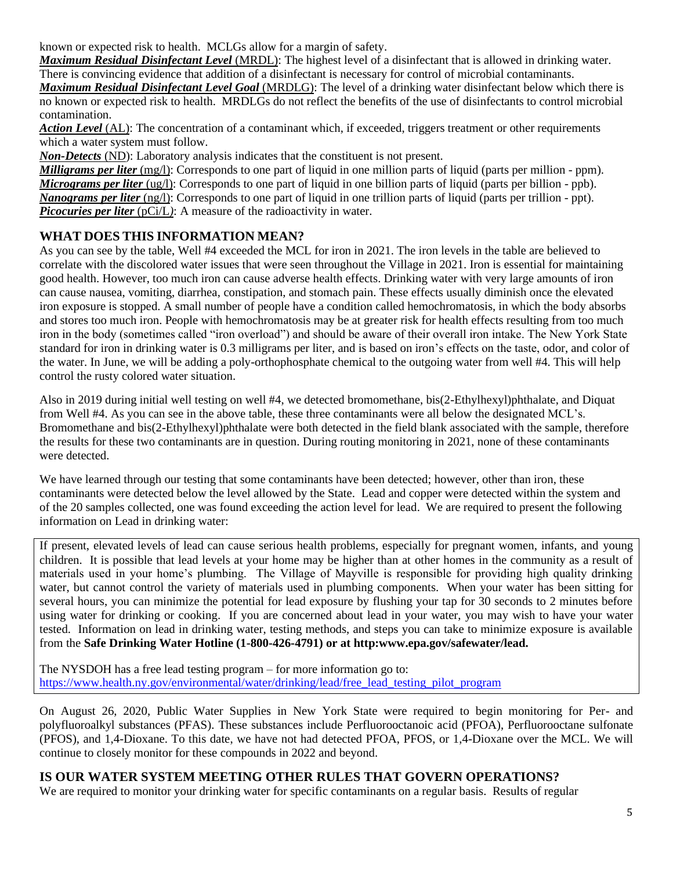known or expected risk to health. MCLGs allow for a margin of safety.

*Maximum Residual Disinfectant Level* (MRDL): The highest level of a disinfectant that is allowed in drinking water. There is convincing evidence that addition of a disinfectant is necessary for control of microbial contaminants.

*Maximum Residual Disinfectant Level Goal* (MRDLG): The level of a drinking water disinfectant below which there is no known or expected risk to health. MRDLGs do not reflect the benefits of the use of disinfectants to control microbial contamination.

*Action Level* (AL): The concentration of a contaminant which, if exceeded, triggers treatment or other requirements which a water system must follow.

*Non-Detects* (ND): Laboratory analysis indicates that the constituent is not present.

*Milligrams per liter* (mg/l): Corresponds to one part of liquid in one million parts of liquid (parts per million - ppm). *Micrograms per liter* (ug/l): Corresponds to one part of liquid in one billion parts of liquid (parts per billion - ppb). *Nanograms per liter* (ng/l): Corresponds to one part of liquid in one trillion parts of liquid (parts per trillion - ppt). *Picocuries per liter* (pCi/L): A measure of the radioactivity in water.

# **WHAT DOES THIS INFORMATION MEAN?**

As you can see by the table, Well #4 exceeded the MCL for iron in 2021. The iron levels in the table are believed to correlate with the discolored water issues that were seen throughout the Village in 2021. Iron is essential for maintaining good health. However, too much iron can cause adverse health effects. Drinking water with very large amounts of iron can cause nausea, vomiting, diarrhea, constipation, and stomach pain. These effects usually diminish once the elevated iron exposure is stopped. A small number of people have a condition called hemochromatosis, in which the body absorbs and stores too much iron. People with hemochromatosis may be at greater risk for health effects resulting from too much iron in the body (sometimes called "iron overload") and should be aware of their overall iron intake. The New York State standard for iron in drinking water is 0.3 milligrams per liter, and is based on iron's effects on the taste, odor, and color of the water. In June, we will be adding a poly-orthophosphate chemical to the outgoing water from well #4. This will help control the rusty colored water situation.

Also in 2019 during initial well testing on well #4, we detected bromomethane, bis(2-Ethylhexyl)phthalate, and Diquat from Well #4. As you can see in the above table, these three contaminants were all below the designated MCL's. Bromomethane and bis(2-Ethylhexyl)phthalate were both detected in the field blank associated with the sample, therefore the results for these two contaminants are in question. During routing monitoring in 2021, none of these contaminants were detected.

We have learned through our testing that some contaminants have been detected; however, other than iron, these contaminants were detected below the level allowed by the State. Lead and copper were detected within the system and of the 20 samples collected, one was found exceeding the action level for lead. We are required to present the following information on Lead in drinking water:

If present, elevated levels of lead can cause serious health problems, especially for pregnant women, infants, and young children. It is possible that lead levels at your home may be higher than at other homes in the community as a result of materials used in your home's plumbing. The Village of Mayville is responsible for providing high quality drinking water, but cannot control the variety of materials used in plumbing components. When your water has been sitting for several hours, you can minimize the potential for lead exposure by flushing your tap for 30 seconds to 2 minutes before using water for drinking or cooking. If you are concerned about lead in your water, you may wish to have your water tested. Information on lead in drinking water, testing methods, and steps you can take to minimize exposure is available from the **Safe Drinking Water Hotline (1-800-426-4791) or at http:www.epa.gov/safewater/lead.**

The NYSDOH has a free lead testing program – for more information go to: [https://www.health.ny.gov/environmental/water/drinking/lead/free\\_lead\\_testing\\_pilot\\_program](https://www.health.ny.gov/environmental/water/drinking/lead/free_lead_testing_pilot_program)

On August 26, 2020, Public Water Supplies in New York State were required to begin monitoring for Per- and polyfluoroalkyl substances (PFAS). These substances include Perfluorooctanoic acid (PFOA), Perfluorooctane sulfonate (PFOS), and 1,4-Dioxane. To this date, we have not had detected PFOA, PFOS, or 1,4-Dioxane over the MCL. We will continue to closely monitor for these compounds in 2022 and beyond.

# **IS OUR WATER SYSTEM MEETING OTHER RULES THAT GOVERN OPERATIONS?**

We are required to monitor your drinking water for specific contaminants on a regular basis. Results of regular